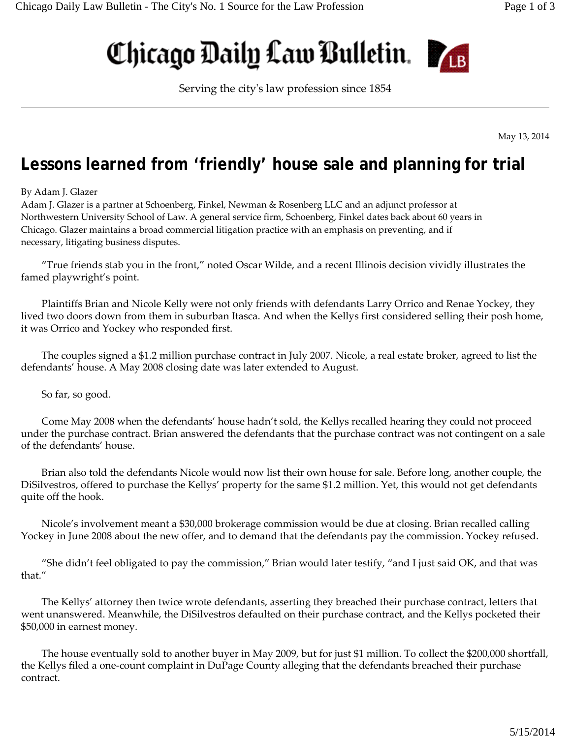## Chicago Daily Law Bulletin.



Serving the cityʹs law profession since 1854

May 13, 2014

## **Lessons learned from 'friendly' house sale and planning for trial**

## By Adam J. Glazer

Adam J. Glazer is a partner at Schoenberg, Finkel, Newman & Rosenberg LLC and an adjunct professor at Northwestern University School of Law. A general service firm, Schoenberg, Finkel dates back about 60 years in Chicago. Glazer maintains a broad commercial litigation practice with an emphasis on preventing, and if necessary, litigating business disputes.

"True friends stab you in the front," noted Oscar Wilde, and a recent Illinois decision vividly illustrates the famed playwright's point.

Plaintiffs Brian and Nicole Kelly were not only friends with defendants Larry Orrico and Renae Yockey, they lived two doors down from them in suburban Itasca. And when the Kellys first considered selling their posh home, it was Orrico and Yockey who responded first.

The couples signed a \$1.2 million purchase contract in July 2007. Nicole, a real estate broker, agreed to list the defendants' house. A May 2008 closing date was later extended to August.

So far, so good.

Come May 2008 when the defendants' house hadn't sold, the Kellys recalled hearing they could not proceed under the purchase contract. Brian answered the defendants that the purchase contract was not contingent on a sale of the defendants' house.

Brian also told the defendants Nicole would now list their own house for sale. Before long, another couple, the DiSilvestros, offered to purchase the Kellys' property for the same \$1.2 million. Yet, this would not get defendants quite off the hook.

Nicole's involvement meant a \$30,000 brokerage commission would be due at closing. Brian recalled calling Yockey in June 2008 about the new offer, and to demand that the defendants pay the commission. Yockey refused.

"She didn't feel obligated to pay the commission," Brian would later testify, "and I just said OK, and that was that."

The Kellys' attorney then twice wrote defendants, asserting they breached their purchase contract, letters that went unanswered. Meanwhile, the DiSilvestros defaulted on their purchase contract, and the Kellys pocketed their \$50,000 in earnest money.

The house eventually sold to another buyer in May 2009, but for just \$1 million. To collect the \$200,000 shortfall, the Kellys filed a one‐count complaint in DuPage County alleging that the defendants breached their purchase contract.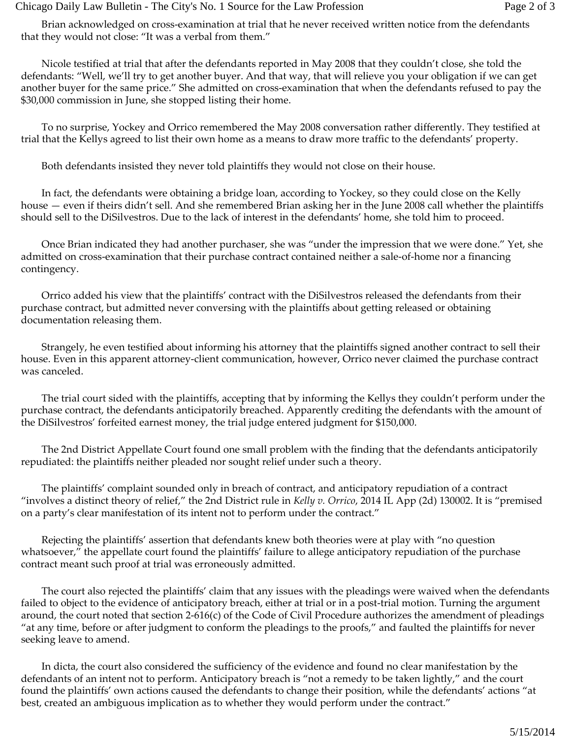Brian acknowledged on cross‐examination at trial that he never received written notice from the defendants that they would not close: "It was a verbal from them."

Nicole testified at trial that after the defendants reported in May 2008 that they couldn't close, she told the defendants: "Well, we'll try to get another buyer. And that way, that will relieve you your obligation if we can get another buyer for the same price." She admitted on cross‐examination that when the defendants refused to pay the \$30,000 commission in June, she stopped listing their home.

To no surprise, Yockey and Orrico remembered the May 2008 conversation rather differently. They testified at trial that the Kellys agreed to list their own home as a means to draw more traffic to the defendants' property.

Both defendants insisted they never told plaintiffs they would not close on their house.

In fact, the defendants were obtaining a bridge loan, according to Yockey, so they could close on the Kelly house — even if theirs didn't sell. And she remembered Brian asking her in the June 2008 call whether the plaintiffs should sell to the DiSilvestros. Due to the lack of interest in the defendants' home, she told him to proceed.

Once Brian indicated they had another purchaser, she was "under the impression that we were done." Yet, she admitted on cross‐examination that their purchase contract contained neither a sale‐of‐home nor a financing contingency.

Orrico added his view that the plaintiffs' contract with the DiSilvestros released the defendants from their purchase contract, but admitted never conversing with the plaintiffs about getting released or obtaining documentation releasing them.

Strangely, he even testified about informing his attorney that the plaintiffs signed another contract to sell their house. Even in this apparent attorney‐client communication, however, Orrico never claimed the purchase contract was canceled.

The trial court sided with the plaintiffs, accepting that by informing the Kellys they couldn't perform under the purchase contract, the defendants anticipatorily breached. Apparently crediting the defendants with the amount of the DiSilvestros' forfeited earnest money, the trial judge entered judgment for \$150,000.

The 2nd District Appellate Court found one small problem with the finding that the defendants anticipatorily repudiated: the plaintiffs neither pleaded nor sought relief under such a theory.

The plaintiffs' complaint sounded only in breach of contract, and anticipatory repudiation of a contract "involves a distinct theory of relief," the 2nd District rule in *Kelly v. Orrico*, 2014 IL App (2d) 130002. It is "premised on a party's clear manifestation of its intent not to perform under the contract."

Rejecting the plaintiffs' assertion that defendants knew both theories were at play with "no question whatsoever," the appellate court found the plaintiffs' failure to allege anticipatory repudiation of the purchase contract meant such proof at trial was erroneously admitted.

The court also rejected the plaintiffs' claim that any issues with the pleadings were waived when the defendants failed to object to the evidence of anticipatory breach, either at trial or in a post-trial motion. Turning the argument around, the court noted that section 2‐616(c) of the Code of Civil Procedure authorizes the amendment of pleadings "at any time, before or after judgment to conform the pleadings to the proofs," and faulted the plaintiffs for never seeking leave to amend.

In dicta, the court also considered the sufficiency of the evidence and found no clear manifestation by the defendants of an intent not to perform. Anticipatory breach is "not a remedy to be taken lightly," and the court found the plaintiffs' own actions caused the defendants to change their position, while the defendants' actions "at best, created an ambiguous implication as to whether they would perform under the contract."